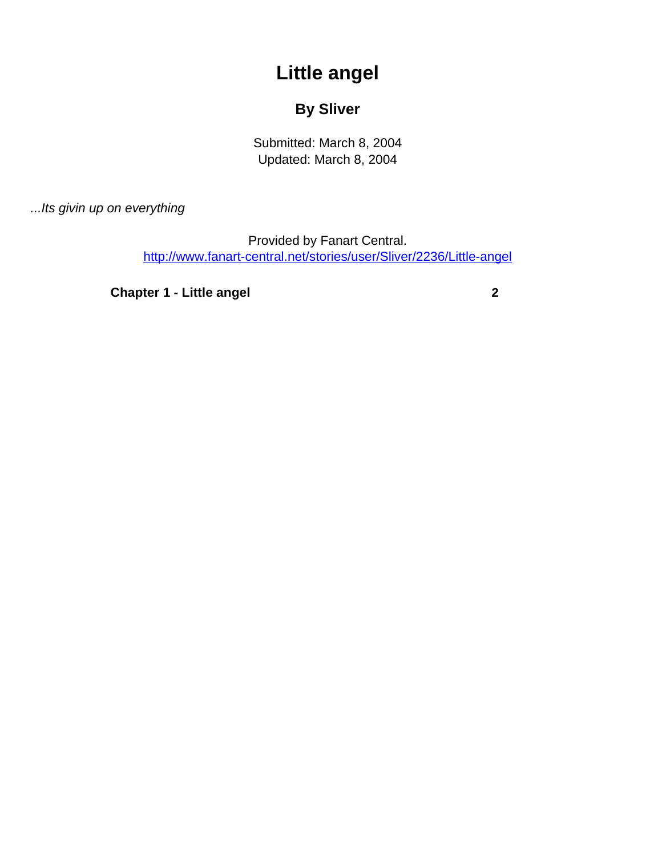## **Little angel**

## **By Sliver**

Submitted: March 8, 2004 Updated: March 8, 2004

<span id="page-0-0"></span>...Its givin up on everything

Provided by Fanart Central. [http://www.fanart-central.net/stories/user/Sliver/2236/Little-angel](#page-0-0)

**[Chapter 1 - Little angel](#page-1-0)** [2](#page-1-0)